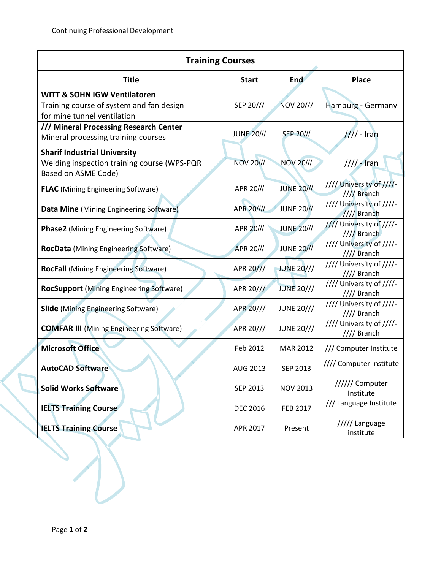| <b>Training Courses</b>                                                                                            |                   |                   |                                         |  |  |  |  |
|--------------------------------------------------------------------------------------------------------------------|-------------------|-------------------|-----------------------------------------|--|--|--|--|
| <b>Title</b>                                                                                                       | <b>Start</b>      | <b>End</b>        | <b>Place</b>                            |  |  |  |  |
| <b>WITT &amp; SOHN IGW Ventilatoren</b><br>Training course of system and fan design<br>for mine tunnel ventilation | SEP 20///         | NOV 20///         | Hamburg - Germany                       |  |  |  |  |
| /// Mineral Processing Research Center<br>Mineral processing training courses                                      | <b>JUNE 20///</b> | <b>SEP 20///</b>  | $111 -$ Iran                            |  |  |  |  |
| <b>Sharif Industrial University</b><br>Welding inspection training course (WPS-PQR<br>Based on ASME Code)          | <b>NOV 20///</b>  | <b>NOV 20///</b>  | $\frac{1}{1}$ - Iran                    |  |  |  |  |
| <b>FLAC</b> (Mining Engineering Software)                                                                          | APR 20///         | <b>JUNE 20///</b> | //// University of ////-<br>//// Branch |  |  |  |  |
| Data Mine (Mining Engineering Software)                                                                            | APR 20////        | <b>JUNE 20///</b> | //// University of ////-<br>//// Branch |  |  |  |  |
| <b>Phase2</b> (Mining Engineering Software)                                                                        | APR 20///         | <b>JUNE 20///</b> | //// University of ////-<br>//// Branch |  |  |  |  |
| <b>RocData</b> (Mining Engineering Software)                                                                       | APR 20///         | <b>JUNE 20///</b> | //// University of ////-<br>//// Branch |  |  |  |  |
| <b>RocFall</b> (Mining Engineering Software)                                                                       | APR 20///         | <b>JUNE 20///</b> | //// University of ////-<br>//// Branch |  |  |  |  |
| <b>RocSupport</b> (Mining Engineering Software)                                                                    | APR 20///         | <b>JUNE 20///</b> | //// University of ////-<br>//// Branch |  |  |  |  |
| <b>Slide</b> (Mining Engineering Software)                                                                         | APR 20///         | <b>JUNE 20///</b> | //// University of ////-<br>//// Branch |  |  |  |  |
| <b>COMFAR III</b> (Mining Engineering Software)                                                                    | APR 20///         | <b>JUNE 20///</b> | //// University of ////-<br>//// Branch |  |  |  |  |
| <b>Microsoft Office</b>                                                                                            | Feb 2012          | <b>MAR 2012</b>   | /// Computer Institute                  |  |  |  |  |
| <b>AutoCAD Software</b>                                                                                            | AUG 2013          | SEP 2013          | //// Computer Institute                 |  |  |  |  |
| <b>Solid Works Software</b>                                                                                        | SEP 2013          | <b>NOV 2013</b>   | ////// Computer<br>Institute            |  |  |  |  |
| <b>IELTS Training Course</b>                                                                                       | <b>DEC 2016</b>   | <b>FEB 2017</b>   | /// Language Institute                  |  |  |  |  |
| <b>IELTS Training Course</b>                                                                                       | APR 2017          | Present           | ///// Language<br>institute             |  |  |  |  |